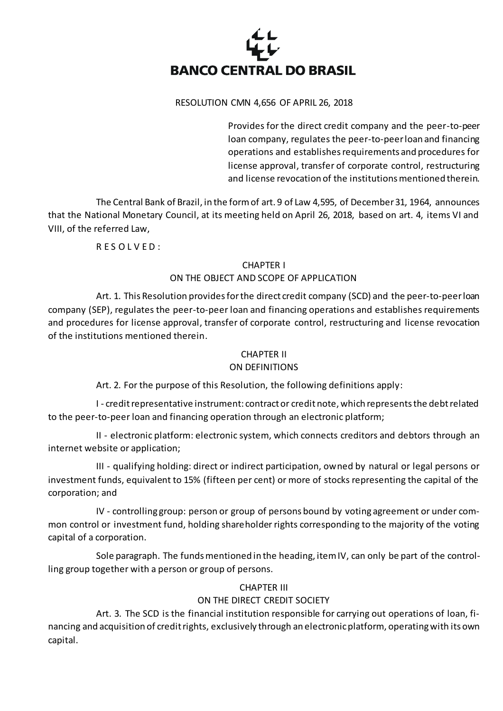

#### RESOLUTION CMN 4,656 OF APRIL 26, 2018

Provides for the direct credit company and the peer-to-peer loan company, regulates the peer-to-peer loan and financing operations and establishes requirements and procedures for license approval, transfer of corporate control, restructuring and license revocation of the institutions mentioned therein.

The Central Bank of Brazil, in the form of art. 9 of Law 4,595, of December 31, 1964, announces that the National Monetary Council, at its meeting held on April 26, 2018, based on art. 4, items VI and VIII, of the referred Law,

R E S O L V E D :

## CHAPTER I

# ON THE OBJECT AND SCOPE OF APPLICATION

Art. 1. This Resolution provides forthe direct credit company (SCD) and the peer-to-peer loan company (SEP), regulates the peer-to-peer loan and financing operations and establishes requirements and procedures for license approval, transfer of corporate control, restructuring and license revocation of the institutions mentioned therein.

## CHAPTER II

## ON DEFINITIONS

Art. 2. For the purpose of this Resolution, the following definitions apply:

I - credit representative instrument: contract or credit note, which represents the debt related to the peer-to-peer loan and financing operation through an electronic platform;

II - electronic platform: electronic system, which connects creditors and debtors through an internet website or application;

III - qualifying holding: direct or indirect participation, owned by natural or legal persons or investment funds, equivalent to 15% (fifteen per cent) or more of stocks representing the capital of the corporation; and

IV - controlling group: person or group of persons bound by voting agreement or under common control or investment fund, holding shareholder rights corresponding to the majority of the voting capital of a corporation.

Sole paragraph. The funds mentioned in the heading, item IV, can only be part of the controlling group together with a person or group of persons.

# CHAPTER III

# ON THE DIRECT CREDIT SOCIETY

Art. 3. The SCD is the financial institution responsible for carrying out operations of loan, financing and acquisition of credit rights, exclusively through an electronic platform, operating with its own capital.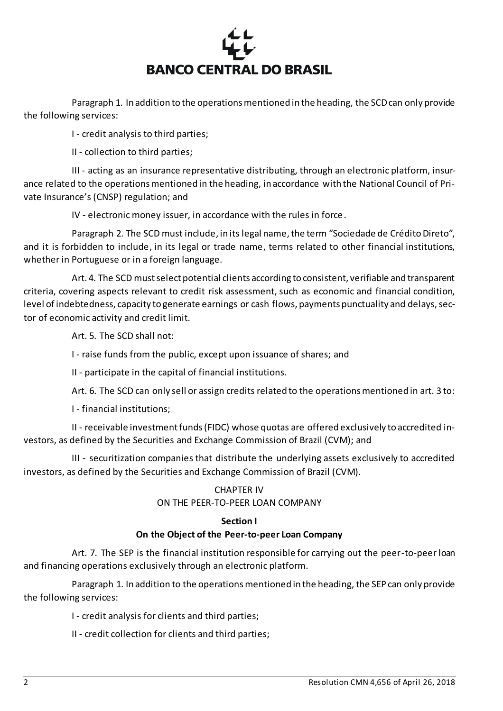

Paragraph 1. In addition to the operations mentioned in the heading, the SCD can only provide the following services:

I - credit analysis to third parties;

II - collection to third parties;

III - acting as an insurance representative distributing, through an electronic platform, insurance related to the operations mentioned in the heading, in accordance with the National Council of Private Insurance's (CNSP) regulation; and

IV - electronic money issuer, in accordance with the rules in force.

Paragraph 2. The SCD must include, in its legal name, the term "Sociedade de Crédito Direto", and it is forbidden to include, in its legal or trade name, terms related to other financial institutions, whether in Portuguese or in a foreign language.

Art. 4. The SCD mustselect potential clients according to consistent, verifiable and transparent criteria, covering aspects relevant to credit risk assessment, such as economic and financial condition, level of indebtedness, capacity to generate earnings or cash flows, payments punctuality and delays, sector of economic activity and credit limit.

Art. 5. The SCD shall not:

I - raise funds from the public, except upon issuance of shares; and

II - participate in the capital of financial institutions.

Art. 6. The SCD can only sell or assign credits related to the operations mentioned in art. 3 to:

I - financial institutions;

II - receivable investment funds (FIDC) whose quotas are offered exclusively to accredited investors, as defined by the Securities and Exchange Commission of Brazil (CVM); and

III - securitization companies that distribute the underlying assets exclusively to accredited investors, as defined by the Securities and Exchange Commission of Brazil (CVM).

## CHAPTER IV ON THE PEER-TO-PEER LOAN COMPANY

# **Section I**

# **On the Object of the Peer-to-peer Loan Company**

Art. 7. The SEP is the financial institution responsible for carrying out the peer-to-peer loan and financing operations exclusively through an electronic platform.

Paragraph 1. In addition to the operations mentioned in the heading, the SEP can only provide the following services:

I - credit analysis for clients and third parties;

II - credit collection for clients and third parties;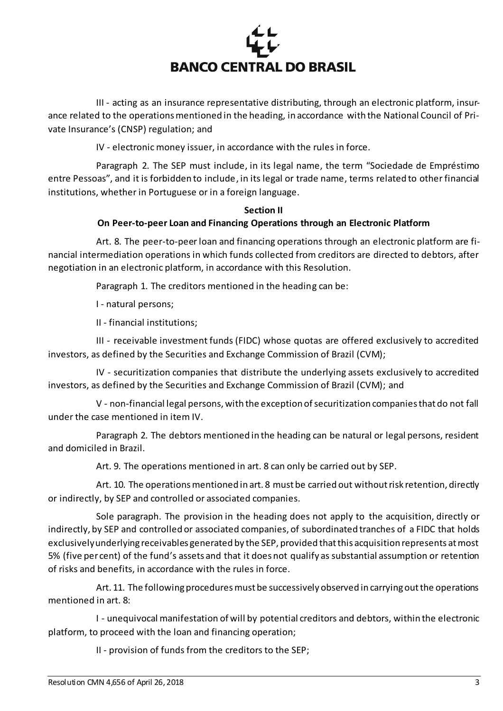

III - acting as an insurance representative distributing, through an electronic platform, insurance related to the operations mentioned in the heading, in accordance with the National Council of Private Insurance's (CNSP) regulation; and

IV - electronic money issuer, in accordance with the rules in force.

Paragraph 2. The SEP must include, in its legal name, the term "Sociedade de Empréstimo entre Pessoas", and it is forbidden to include, in its legal or trade name, terms related to other financial institutions, whether in Portuguese or in a foreign language.

## **Section II**

## **On Peer-to-peer Loan and Financing Operations through an Electronic Platform**

Art. 8. The peer-to-peer loan and financing operations through an electronic platform are financial intermediation operations in which funds collected from creditors are directed to debtors, after negotiation in an electronic platform, in accordance with this Resolution.

Paragraph 1. The creditors mentioned in the heading can be:

I - natural persons;

II - financial institutions;

III - receivable investment funds (FIDC) whose quotas are offered exclusively to accredited investors, as defined by the Securities and Exchange Commission of Brazil (CVM);

IV - securitization companies that distribute the underlying assets exclusively to accredited investors, as defined by the Securities and Exchange Commission of Brazil (CVM); and

V - non-financial legal persons, with the exception of securitization companies that do not fall under the case mentioned in item IV.

Paragraph 2. The debtors mentioned in the heading can be natural or legal persons, resident and domiciled in Brazil.

Art. 9. The operations mentioned in art. 8 can only be carried out by SEP.

Art. 10. The operations mentioned in art. 8 must be carried out without risk retention, directly or indirectly, by SEP and controlled or associated companies.

Sole paragraph. The provision in the heading does not apply to the acquisition, directly or indirectly, by SEP and controlled or associated companies, of subordinated tranches of a FIDC that holds exclusively underlying receivables generated by the SEP, provided that this acquisition represents at most 5% (five per cent) of the fund's assets and that it does not qualify as substantial assumption or retention of risks and benefits, in accordance with the rules in force.

Art. 11. The following procedures must be successively observed in carrying out the operations mentioned in art. 8:

I - unequivocal manifestation of will by potential creditors and debtors, within the electronic platform, to proceed with the loan and financing operation;

II - provision of funds from the creditors to the SEP;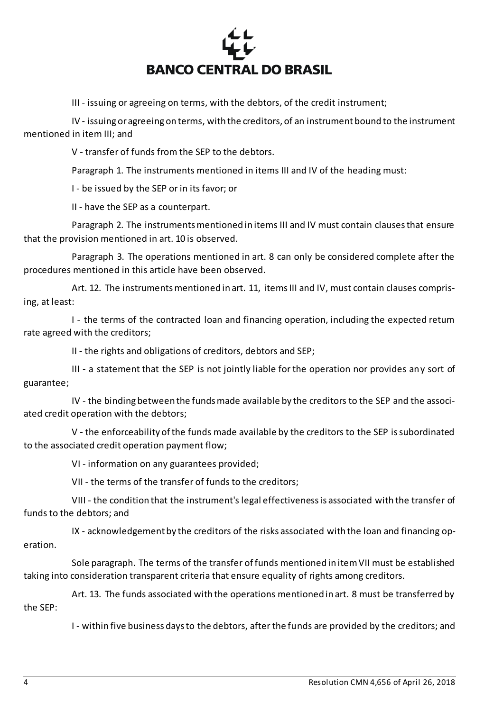

III - issuing or agreeing on terms, with the debtors, of the credit instrument;

IV - issuing or agreeing on terms, with the creditors, of an instrument bound to the instrument mentioned in item III; and

V - transfer of funds from the SEP to the debtors.

Paragraph 1. The instruments mentioned in items III and IV of the heading must:

I - be issued by the SEP or in its favor; or

II - have the SEP as a counterpart.

Paragraph 2. The instruments mentioned in items III and IV must contain clauses that ensure that the provision mentioned in art. 10 is observed.

Paragraph 3. The operations mentioned in art. 8 can only be considered complete after the procedures mentioned in this article have been observed.

Art. 12. The instruments mentioned in art. 11, items III and IV, must contain clauses comprising, at least:

I - the terms of the contracted loan and financing operation, including the expected return rate agreed with the creditors;

II - the rights and obligations of creditors, debtors and SEP;

III - a statement that the SEP is not jointly liable for the operation nor provides any sort of guarantee;

IV - the binding between the funds made available by the creditors to the SEP and the associated credit operation with the debtors;

V - the enforceability of the funds made available by the creditors to the SEP is subordinated to the associated credit operation payment flow;

VI - information on any guarantees provided;

VII - the terms of the transfer of funds to the creditors;

VIII - the condition that the instrument's legal effectiveness is associated with the transfer of funds to the debtors; and

IX - acknowledgement by the creditors of the risks associated with the loan and financing operation.

Sole paragraph. The terms of the transfer of funds mentioned in item VII must be established taking into consideration transparent criteria that ensure equality of rights among creditors.

Art. 13. The funds associated with the operations mentioned in art. 8 must be transferred by the SEP:

I - within five business days to the debtors, after the funds are provided by the creditors; and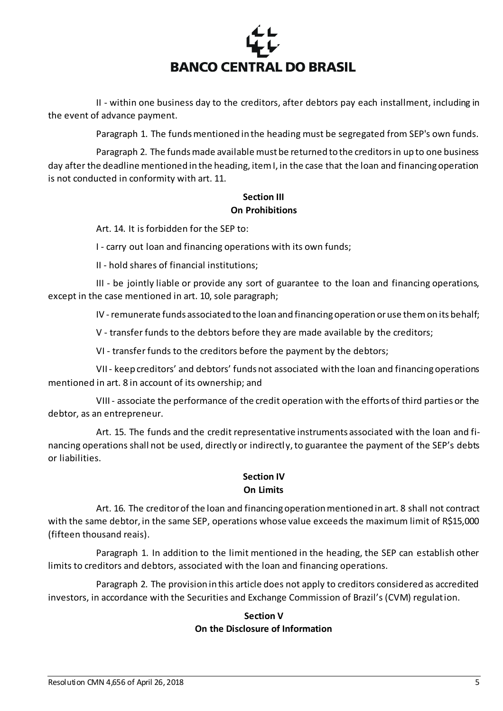

II - within one business day to the creditors, after debtors pay each installment, including in the event of advance payment.

Paragraph 1. The funds mentioned in the heading must be segregated from SEP's own funds.

Paragraph 2. The funds made available must be returned to the creditors in up to one business day after the deadline mentioned in the heading, item I, in the case that the loan and financing operation is not conducted in conformity with art. 11.

## **Section III On Prohibitions**

Art. 14. It is forbidden for the SEP to:

I - carry out loan and financing operations with its own funds;

II - hold shares of financial institutions;

III - be jointly liable or provide any sort of guarantee to the loan and financing operations, except in the case mentioned in art. 10, sole paragraph;

IV -remunerate funds associated to the loan and financing operation or use them on its behalf;

V - transfer funds to the debtors before they are made available by the creditors;

VI - transfer funds to the creditors before the payment by the debtors;

VII - keep creditors' and debtors' funds not associated with the loan and financing operations mentioned in art. 8 in account of its ownership; and

VIII - associate the performance of the credit operation with the efforts of third parties or the debtor, as an entrepreneur.

Art. 15. The funds and the credit representative instruments associated with the loan and financing operations shall not be used, directly or indirectly, to guarantee the payment of the SEP's debts or liabilities.

# **Section IV On Limits**

Art. 16. The creditor of the loan and financing operation mentioned in art. 8 shall not contract with the same debtor, in the same SEP, operations whose value exceeds the maximum limit of R\$15,000 (fifteen thousand reais).

Paragraph 1. In addition to the limit mentioned in the heading, the SEP can establish other limits to creditors and debtors, associated with the loan and financing operations.

Paragraph 2. The provision in this article does not apply to creditors considered as accredited investors, in accordance with the Securities and Exchange Commission of Brazil's (CVM) regulation.

# **Section V On the Disclosure of Information**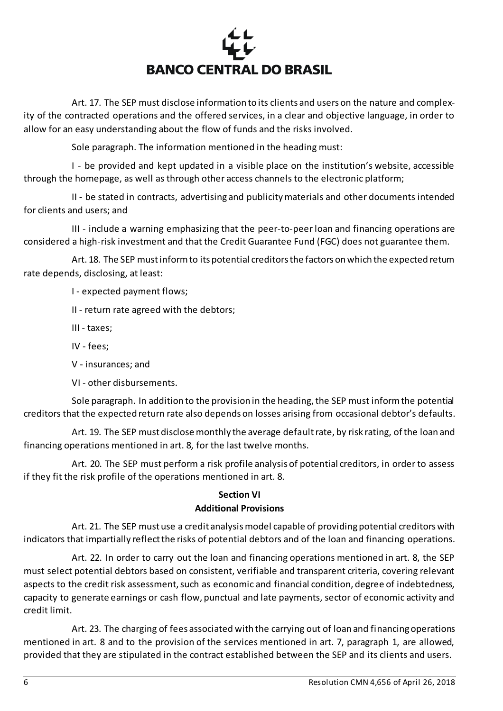

Art. 17. The SEP must disclose information to its clients and users on the nature and complexity of the contracted operations and the offered services, in a clear and objective language, in order to allow for an easy understanding about the flow of funds and the risks involved.

Sole paragraph. The information mentioned in the heading must:

I - be provided and kept updated in a visible place on the institution's website, accessible through the homepage, as well as through other access channels to the electronic platform;

II - be stated in contracts, advertising and publicity materials and other documents intended for clients and users; and

III - include a warning emphasizing that the peer-to-peer loan and financing operations are considered a high-risk investment and that the Credit Guarantee Fund (FGC) does not guarantee them.

Art. 18. The SEP must inform to its potential creditors the factors on which the expected return rate depends, disclosing, at least:

I - expected payment flows;

II - return rate agreed with the debtors;

III - taxes;

IV - fees;

V - insurances; and

VI - other disbursements.

Sole paragraph. In addition to the provision in the heading, the SEP must inform the potential creditors that the expected return rate also depends on losses arising from occasional debtor's defaults.

Art. 19. The SEP must disclose monthly the average default rate, by risk rating, of the loan and financing operations mentioned in art. 8, for the last twelve months.

Art. 20. The SEP must perform a risk profile analysis of potential creditors, in order to assess if they fit the risk profile of the operations mentioned in art. 8.

# **Section VI**

## **Additional Provisions**

Art. 21. The SEP must use a credit analysis model capable of providing potential creditors with indicators that impartially reflect the risks of potential debtors and of the loan and financing operations.

Art. 22. In order to carry out the loan and financing operations mentioned in art. 8, the SEP must select potential debtors based on consistent, verifiable and transparent criteria, covering relevant aspects to the credit risk assessment, such as economic and financial condition, degree of indebtedness, capacity to generate earnings or cash flow, punctual and late payments, sector of economic activity and credit limit.

Art. 23. The charging of fees associated with the carrying out of loan and financing operations mentioned in art. 8 and to the provision of the services mentioned in art. 7, paragraph 1, are allowed, provided that they are stipulated in the contract established between the SEP and its clients and users.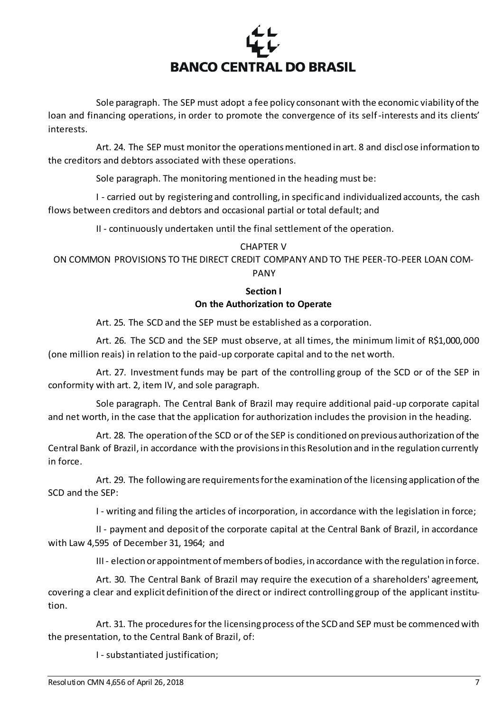

Sole paragraph. The SEP must adopt a fee policy consonant with the economic viability of the loan and financing operations, in order to promote the convergence of its self-interests and its clients' interests.

Art. 24. The SEP must monitor the operations mentioned in art. 8 and disclose information to the creditors and debtors associated with these operations.

Sole paragraph. The monitoring mentioned in the heading must be:

I - carried out by registering and controlling, in specific and individualized accounts, the cash flows between creditors and debtors and occasional partial or total default; and

II - continuously undertaken until the final settlement of the operation.

## CHAPTER V

ON COMMON PROVISIONS TO THE DIRECT CREDIT COMPANY AND TO THE PEER-TO-PEER LOAN COM-PANY

#### **Section I On the Authorization to Operate**

Art. 25. The SCD and the SEP must be established as a corporation.

Art. 26. The SCD and the SEP must observe, at all times, the minimum limit of R\$1,000,000 (one million reais) in relation to the paid-up corporate capital and to the net worth.

Art. 27. Investment funds may be part of the controlling group of the SCD or of the SEP in conformity with art. 2, item IV, and sole paragraph.

Sole paragraph. The Central Bank of Brazil may require additional paid-up corporate capital and net worth, in the case that the application for authorization includes the provision in the heading.

Art. 28. The operation of the SCD or of the SEP is conditioned on previous authorization of the Central Bank of Brazil, in accordance with the provisions in this Resolution and in the regulation currently in force.

Art. 29. The following are requirements for the examination of the licensing application of the SCD and the SEP:

I - writing and filing the articles of incorporation, in accordance with the legislation in force;

II - payment and deposit of the corporate capital at the Central Bank of Brazil, in accordance with Law 4,595 of December 31, 1964; and

III - election or appointment of members of bodies, in accordance with the regulation in force.

Art. 30. The Central Bank of Brazil may require the execution of a shareholders' agreement, covering a clear and explicit definition of the direct or indirect controlling group of the applicant institution.

Art. 31. The procedures for the licensing process of the SCD and SEP must be commenced with the presentation, to the Central Bank of Brazil, of:

I - substantiated justification;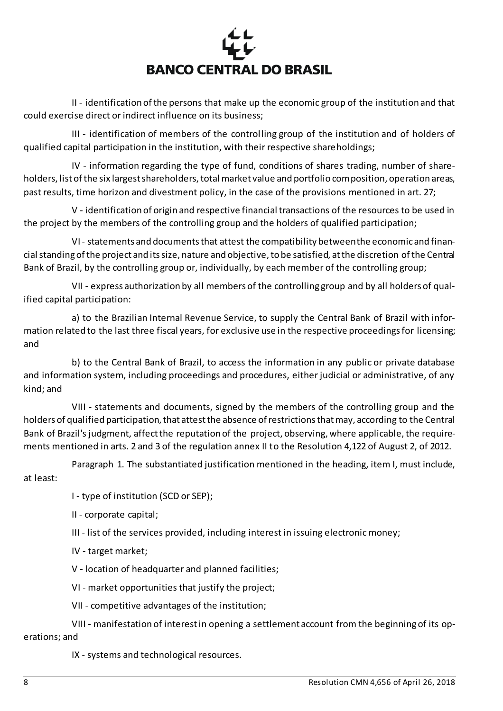

II - identification of the persons that make up the economic group of the institution and that could exercise direct or indirect influence on its business;

III - identification of members of the controlling group of the institution and of holders of qualified capital participation in the institution, with their respective shareholdings;

IV - information regarding the type of fund, conditions of shares trading, number of shareholders, list of the six largest shareholders, total market value and portfolio composition, operation areas, past results, time horizon and divestment policy, in the case of the provisions mentioned in art. 27;

V - identification of origin and respective financial transactions of the resources to be used in the project by the members of the controlling group and the holders of qualified participation;

VI - statements and documents that attest the compatibility between the economic and financial standing of the project and its size, nature and objective, to be satisfied, at the discretion of the Central Bank of Brazil, by the controlling group or, individually, by each member of the controlling group;

VII - express authorization by all members of the controlling group and by all holders of qualified capital participation:

a) to the Brazilian Internal Revenue Service, to supply the Central Bank of Brazil with information related to the last three fiscal years, for exclusive use in the respective proceedings for licensing; and

b) to the Central Bank of Brazil, to access the information in any public or private database and information system, including proceedings and procedures, either judicial or administrative, of any kind; and

VIII - statements and documents, signed by the members of the controlling group and the holders of qualified participation, that attest the absence of restrictions that may, according to the Central Bank of Brazil's judgment, affect the reputation of the project, observing, where applicable, the requirements mentioned in arts. 2 and 3 of the regulation annex II to the Resolution 4,122 of August 2, of 2012.

Paragraph 1. The substantiated justification mentioned in the heading, item I, must include, at least:

I - type of institution (SCD or SEP);

II - corporate capital;

III - list of the services provided, including interest in issuing electronic money;

IV - target market;

V - location of headquarter and planned facilities;

VI - market opportunities that justify the project;

VII - competitive advantages of the institution;

VIII - manifestation of interest in opening a settlement account from the beginning of its operations; and

IX - systems and technological resources.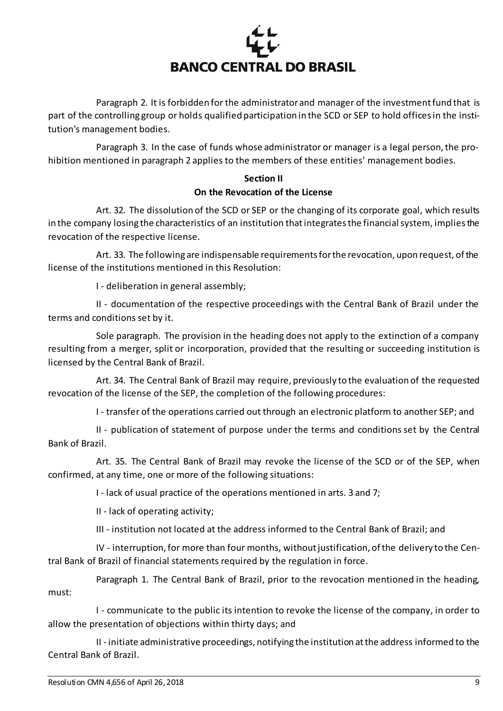

Paragraph 2. It is forbidden for the administrator and manager of the investment fund that is part of the controlling group or holds qualified participation in the SCD or SEP to hold offices in the institution's management bodies.

Paragraph 3. In the case of funds whose administrator or manager is a legal person, the prohibition mentioned in paragraph 2 applies to the members of these entities' management bodies.

# **Section II On the Revocation of the License**

Art. 32. The dissolution of the SCD or SEP or the changing of its corporate goal, which results in the company losing the characteristics of an institution thatintegrates the financial system, implies the revocation of the respective license.

Art. 33. The following are indispensable requirements for the revocation, upon request, of the license of the institutions mentioned in this Resolution:

I - deliberation in general assembly;

II - documentation of the respective proceedings with the Central Bank of Brazil under the terms and conditions set by it.

Sole paragraph. The provision in the heading does not apply to the extinction of a company resulting from a merger, split or incorporation, provided that the resulting or succeeding institution is licensed by the Central Bank of Brazil.

Art. 34. The Central Bank of Brazil may require, previously to the evaluation of the requested revocation of the license of the SEP, the completion of the following procedures:

I - transfer of the operations carried out through an electronic platform to another SEP; and

II - publication of statement of purpose under the terms and conditions set by the Central Bank of Brazil.

Art. 35. The Central Bank of Brazil may revoke the license of the SCD or of the SEP, when confirmed, at any time, one or more of the following situations:

I - lack of usual practice of the operations mentioned in arts. 3 and 7;

II - lack of operating activity;

III - institution not located at the address informed to the Central Bank of Brazil; and

IV - interruption, for more than four months, without justification, of the delivery to the Central Bank of Brazil of financial statements required by the regulation in force.

Paragraph 1. The Central Bank of Brazil, prior to the revocation mentioned in the heading, must:

I - communicate to the public its intention to revoke the license of the company, in order to allow the presentation of objections within thirty days; and

II - initiate administrative proceedings, notifying the institution at the address informed to the Central Bank of Brazil.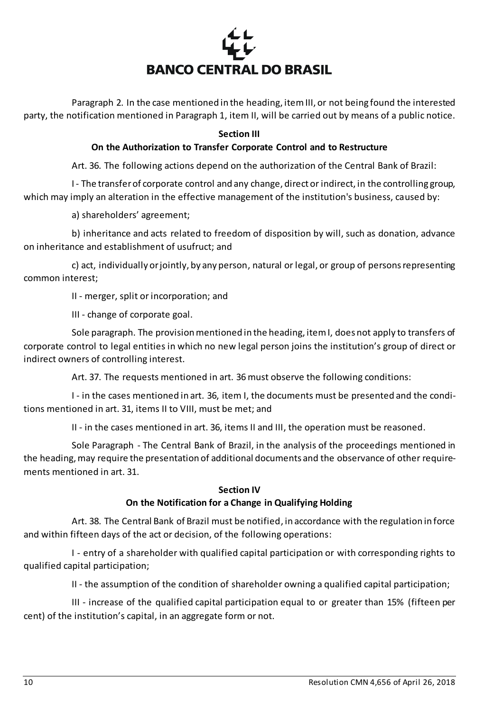

Paragraph 2. In the case mentioned in the heading, item III, or not being found the interested party, the notification mentioned in Paragraph 1, item II, will be carried out by means of a public notice.

## **Section III**

## **On the Authorization to Transfer Corporate Control and to Restructure**

Art. 36. The following actions depend on the authorization of the Central Bank of Brazil:

I - The transfer of corporate control and any change, direct or indirect, in the controlling group, which may imply an alteration in the effective management of the institution's business, caused by:

a) shareholders' agreement;

b) inheritance and acts related to freedom of disposition by will, such as donation, advance on inheritance and establishment of usufruct; and

c) act, individually or jointly, by any person, natural or legal, or group of persons representing common interest;

II - merger, split or incorporation; and

III - change of corporate goal.

Sole paragraph. The provision mentioned in the heading, item I, does not apply to transfers of corporate control to legal entities in which no new legal person joins the institution's group of direct or indirect owners of controlling interest.

Art. 37. The requests mentioned in art. 36 must observe the following conditions:

I - in the cases mentioned in art. 36, item I, the documents must be presented and the conditions mentioned in art. 31, items II to VIII, must be met; and

II - in the cases mentioned in art. 36, items II and III, the operation must be reasoned.

Sole Paragraph - The Central Bank of Brazil, in the analysis of the proceedings mentioned in the heading, may require the presentation of additional documents and the observance of other requirements mentioned in art. 31.

## **Section IV**

## **On the Notification for a Change in Qualifying Holding**

Art. 38. The Central Bank of Brazil must be notified, in accordance with the regulation in force and within fifteen days of the act or decision, of the following operations:

I - entry of a shareholder with qualified capital participation or with corresponding rights to qualified capital participation;

II - the assumption of the condition of shareholder owning a qualified capital participation;

III - increase of the qualified capital participation equal to or greater than 15% (fifteen per cent) of the institution's capital, in an aggregate form or not.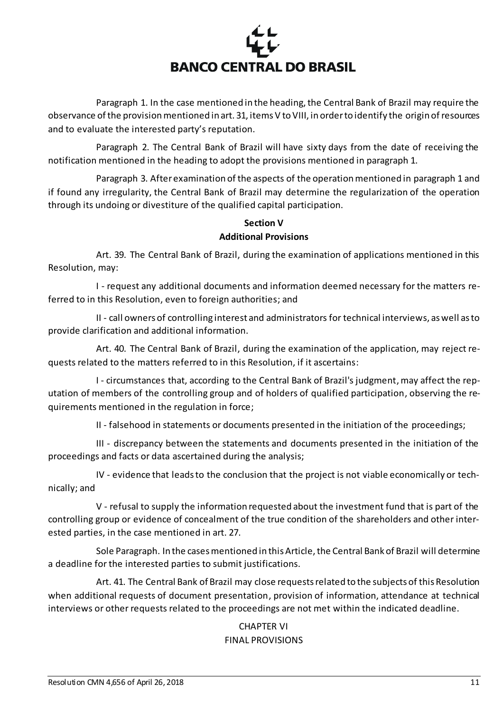

Paragraph 1. In the case mentioned in the heading, the Central Bank of Brazil may require the observance of the provision mentioned in art. 31, items V to VIII, in order to identify the origin of resources and to evaluate the interested party's reputation.

Paragraph 2. The Central Bank of Brazil will have sixty days from the date of receiving the notification mentioned in the heading to adopt the provisions mentioned in paragraph 1.

Paragraph 3. After examination of the aspects of the operation mentioned in paragraph 1 and if found any irregularity, the Central Bank of Brazil may determine the regularization of the operation through its undoing or divestiture of the qualified capital participation.

# **Section V Additional Provisions**

Art. 39. The Central Bank of Brazil, during the examination of applications mentioned in this Resolution, may:

I - request any additional documents and information deemed necessary for the matters referred to in this Resolution, even to foreign authorities; and

II - call owners of controlling interest and administrators for technical interviews, as well as to provide clarification and additional information.

Art. 40. The Central Bank of Brazil, during the examination of the application, may reject requests related to the matters referred to in this Resolution, if it ascertains:

I - circumstances that, according to the Central Bank of Brazil's judgment,may affect the reputation of members of the controlling group and of holders of qualified participation, observing the requirements mentioned in the regulation in force;

II - falsehood in statements or documents presented in the initiation of the proceedings;

III - discrepancy between the statements and documents presented in the initiation of the proceedings and facts or data ascertained during the analysis;

IV - evidence that leads to the conclusion that the project is not viable economically or technically; and

V - refusal to supply the information requested about the investment fund that is part of the controlling group or evidence of concealment of the true condition of the shareholders and other interested parties, in the case mentioned in art. 27.

Sole Paragraph. In the cases mentioned in this Article, the Central Bank of Brazil will determine a deadline for the interested parties to submit justifications.

Art. 41. The Central Bank of Brazil may close requests related to the subjects of this Resolution when additional requests of document presentation, provision of information, attendance at technical interviews or other requests related to the proceedings are not met within the indicated deadline.

# CHAPTER VI FINAL PROVISIONS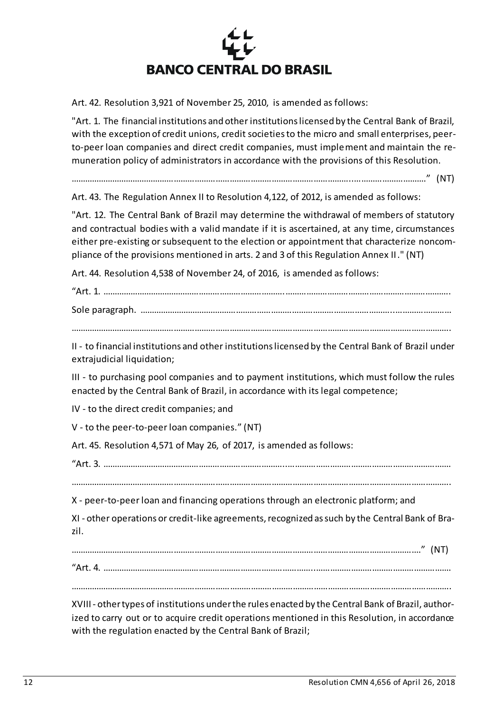

Art. 42. Resolution 3,921 of November 25, 2010, is amended as follows:

"Art. 1. The financial institutions and other institutions licensed by the Central Bank of Brazil, with the exception of credit unions, credit societies to the micro and small enterprises, peerto-peer loan companies and direct credit companies, must implement and maintain the remuneration policy of administrators in accordance with the provisions of this Resolution.

…………………………………………………………………………………………………………..…………………………." (NT)

Art. 43. The Regulation Annex II to Resolution 4,122, of 2012, is amended as follows:

"Art. 12. The Central Bank of Brazil may determine the withdrawal of members of statutory and contractual bodies with a valid mandate if it is ascertained, at any time, circumstances either pre-existing or subsequent to the election or appointment that characterize noncompliance of the provisions mentioned in arts. 2 and 3 of this Regulation Annex II." (NT)

Art. 44. Resolution 4,538 of November 24, of 2016, is amended as follows:

"Art. 1. …………………………………………………………………….……………………………………………………………..

Sole paragraph. ………………………………………………………………………………………………..……………………

………………………………………………………………………………………………………………………………………………..

II - to financial institutions and other institutions licensed by the Central Bank of Brazil under extrajudicial liquidation;

III - to purchasing pool companies and to payment institutions, which must follow the rules enacted by the Central Bank of Brazil, in accordance with its legal competence;

IV - to the direct credit companies; and

V - to the peer-to-peer loan companies." (NT)

Art. 45. Resolution 4,571 of May 26, of 2017, is amended as follows:

"Art. 3. ……………………………………………………………………..…………………………………………………………….

………………………………………………………………………………………………………………………………………………..

X - peer-to-peer loan and financing operations through an electronic platform; and

XI - other operations or credit-like agreements, recognized as such by the Central Bank of Brazil.

……………………………………………………………………………………………………………………………………." (NT)

"Art. 4. ………………………………………………………………………………..………………………………………………….

………………………………………………………………………………………………………………………………………………..

XVIII - other types of institutions under the rules enacted by the Central Bank of Brazil, authorized to carry out or to acquire credit operations mentioned in this Resolution, in accordance with the regulation enacted by the Central Bank of Brazil;